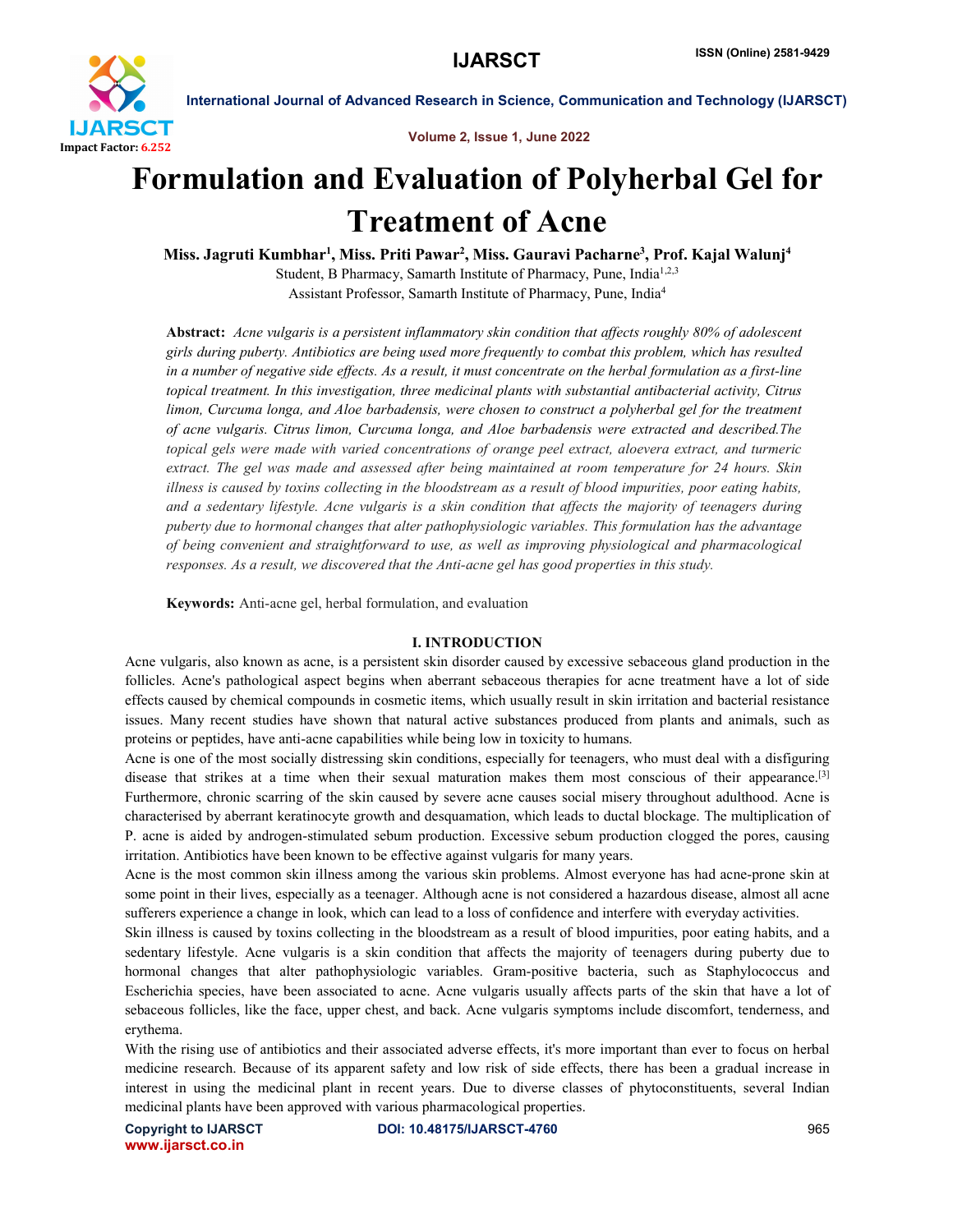

Volume 2, Issue 1, June 2022

# Formulation and Evaluation of Polyherbal Gel for Treatment of Acne

Miss. Jagruti Kumbhar<sup>1</sup>, Miss. Priti Pawar<sup>2</sup>, Miss. Gauravi Pacharne<sup>3</sup>, Prof. Kajal Walunj<sup>4</sup> Student, B Pharmacy, Samarth Institute of Pharmacy, Pune, India<sup>1,2,3</sup>

Assistant Professor, Samarth Institute of Pharmacy, Pune, India4

Abstract: *Acne vulgaris is a persistent inflammatory skin condition that affects roughly 80% of adolescent girls during puberty. Antibiotics are being used more frequently to combat this problem, which has resulted in a number of negative side effects. As a result, it must concentrate on the herbal formulation as a first-line topical treatment. In this investigation, three medicinal plants with substantial antibacterial activity, Citrus limon, Curcuma longa, and Aloe barbadensis, were chosen to construct a polyherbal gel for the treatment of acne vulgaris. Citrus limon, Curcuma longa, and Aloe barbadensis were extracted and described.The topical gels were made with varied concentrations of orange peel extract, aloevera extract, and turmeric extract. The gel was made and assessed after being maintained at room temperature for 24 hours. Skin illness is caused by toxins collecting in the bloodstream as a result of blood impurities, poor eating habits, and a sedentary lifestyle. Acne vulgaris is a skin condition that affects the majority of teenagers during puberty due to hormonal changes that alter pathophysiologic variables. This formulation has the advantage of being convenient and straightforward to use, as well as improving physiological and pharmacological responses. As a result, we discovered that the Anti-acne gel has good properties in this study.*

Keywords: Anti-acne gel, herbal formulation, and evaluation

#### I. INTRODUCTION

Acne vulgaris, also known as acne, is a persistent skin disorder caused by excessive sebaceous gland production in the follicles. Acne's pathological aspect begins when aberrant sebaceous therapies for acne treatment have a lot of side effects caused by chemical compounds in cosmetic items, which usually result in skin irritation and bacterial resistance issues. Many recent studies have shown that natural active substances produced from plants and animals, such as proteins or peptides, have anti-acne capabilities while being low in toxicity to humans.

Acne is one of the most socially distressing skin conditions, especially for teenagers, who must deal with a disfiguring disease that strikes at a time when their sexual maturation makes them most conscious of their appearance.<sup>[3]</sup> Furthermore, chronic scarring of the skin caused by severe acne causes social misery throughout adulthood. Acne is characterised by aberrant keratinocyte growth and desquamation, which leads to ductal blockage. The multiplication of P. acne is aided by androgen-stimulated sebum production. Excessive sebum production clogged the pores, causing irritation. Antibiotics have been known to be effective against vulgaris for many years.

Acne is the most common skin illness among the various skin problems. Almost everyone has had acne-prone skin at some point in their lives, especially as a teenager. Although acne is not considered a hazardous disease, almost all acne sufferers experience a change in look, which can lead to a loss of confidence and interfere with everyday activities.

Skin illness is caused by toxins collecting in the bloodstream as a result of blood impurities, poor eating habits, and a sedentary lifestyle. Acne vulgaris is a skin condition that affects the majority of teenagers during puberty due to hormonal changes that alter pathophysiologic variables. Gram-positive bacteria, such as Staphylococcus and Escherichia species, have been associated to acne. Acne vulgaris usually affects parts of the skin that have a lot of sebaceous follicles, like the face, upper chest, and back. Acne vulgaris symptoms include discomfort, tenderness, and erythema.

With the rising use of antibiotics and their associated adverse effects, it's more important than ever to focus on herbal medicine research. Because of its apparent safety and low risk of side effects, there has been a gradual increase in interest in using the medicinal plant in recent years. Due to diverse classes of phytoconstituents, several Indian medicinal plants have been approved with various pharmacological properties.

www.ijarsct.co.in

Copyright to IJARSCT **DOI: 10.48175/IJARSCT-4760** 965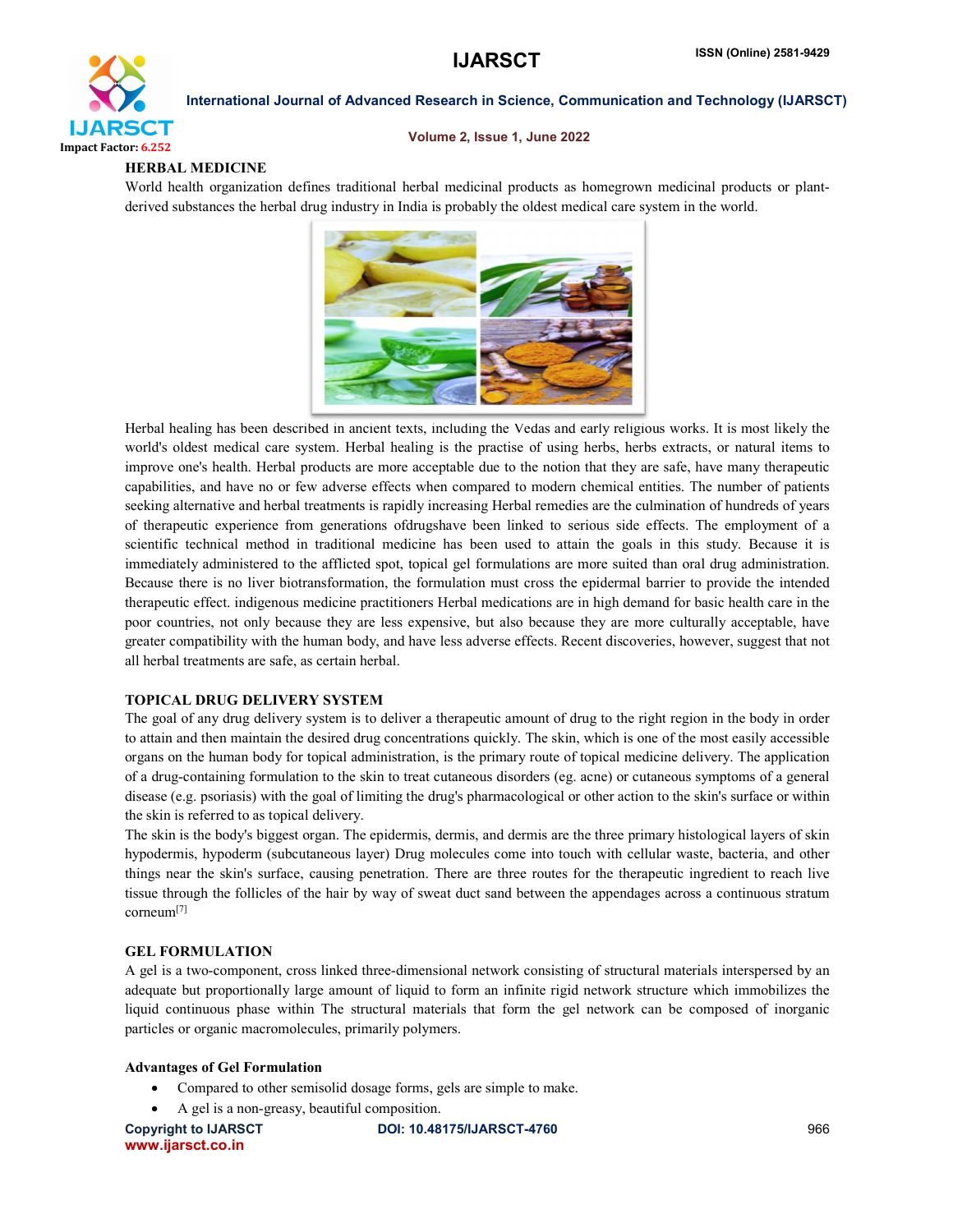

#### Volume 2, Issue 1, June 2022

#### HERBAL MEDICINE

World health organization defines traditional herbal medicinal products as homegrown medicinal products or plantderived substances the herbal drug industry in India is probably the oldest medical care system in the world.



Herbal healing has been described in ancient texts, including the Vedas and early religious works. It is most likely the world's oldest medical care system. Herbal healing is the practise of using herbs, herbs extracts, or natural items to improve one's health. Herbal products are more acceptable due to the notion that they are safe, have many therapeutic capabilities, and have no or few adverse effects when compared to modern chemical entities. The number of patients seeking alternative and herbal treatments is rapidly increasing Herbal remedies are the culmination of hundreds of years of therapeutic experience from generations ofdrugshave been linked to serious side effects. The employment of a scientific technical method in traditional medicine has been used to attain the goals in this study. Because it is immediately administered to the afflicted spot, topical gel formulations are more suited than oral drug administration. Because there is no liver biotransformation, the formulation must cross the epidermal barrier to provide the intended therapeutic effect. indigenous medicine practitioners Herbal medications are in high demand for basic health care in the poor countries, not only because they are less expensive, but also because they are more culturally acceptable, have greater compatibility with the human body, and have less adverse effects. Recent discoveries, however, suggest that not all herbal treatments are safe, as certain herbal.

#### TOPICAL DRUG DELIVERY SYSTEM

The goal of any drug delivery system is to deliver a therapeutic amount of drug to the right region in the body in order to attain and then maintain the desired drug concentrations quickly. The skin, which is one of the most easily accessible organs on the human body for topical administration, is the primary route of topical medicine delivery. The application of a drug-containing formulation to the skin to treat cutaneous disorders (eg. acne) or cutaneous symptoms of a general disease (e.g. psoriasis) with the goal of limiting the drug's pharmacological or other action to the skin's surface or within the skin is referred to as topical delivery.

The skin is the body's biggest organ. The epidermis, dermis, and dermis are the three primary histological layers of skin hypodermis, hypoderm (subcutaneous layer) Drug molecules come into touch with cellular waste, bacteria, and other things near the skin's surface, causing penetration. There are three routes for the therapeutic ingredient to reach live tissue through the follicles of the hair by way of sweat duct sand between the appendages across a continuous stratum corneum[7]

### GEL FORMULATION

A gel is a two-component, cross linked three-dimensional network consisting of structural materials interspersed by an adequate but proportionally large amount of liquid to form an infinite rigid network structure which immobilizes the liquid continuous phase within The structural materials that form the gel network can be composed of inorganic particles or organic macromolecules, primarily polymers.

### Advantages of Gel Formulation

- Compared to other semisolid dosage forms, gels are simple to make.
- A gel is a non-greasy, beautiful composition.

www.ijarsct.co.in

Copyright to IJARSCT **DOI: 10.48175/IJARSCT-4760** 966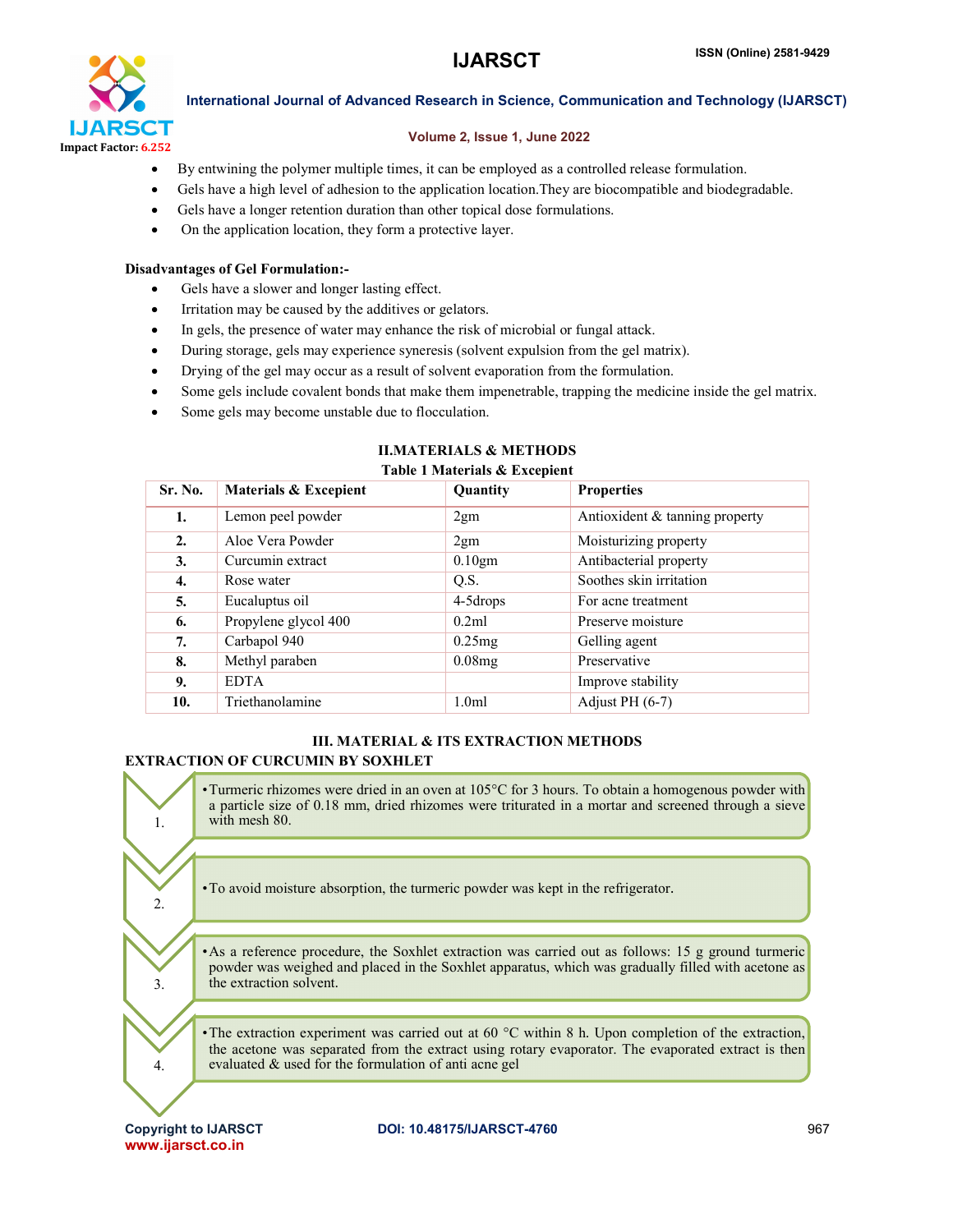

#### Volume 2, Issue 1, June 2022

- By entwining the polymer multiple times, it can be employed as a controlled release formulation.
- Gels have a high level of adhesion to the application location.They are biocompatible and biodegradable.
- Gels have a longer retention duration than other topical dose formulations.
- On the application location, they form a protective layer.

#### Disadvantages of Gel Formulation:-

- Gels have a slower and longer lasting effect.
- Irritation may be caused by the additives or gelators.
- In gels, the presence of water may enhance the risk of microbial or fungal attack.
- During storage, gels may experience syneresis (solvent expulsion from the gel matrix).
- Drying of the gel may occur as a result of solvent evaporation from the formulation.
- Some gels include covalent bonds that make them impenetrable, trapping the medicine inside the gel matrix.
- Some gels may become unstable due to flocculation.

| Table 1 Materials & Excepient |                       |                  |                                |  |  |
|-------------------------------|-----------------------|------------------|--------------------------------|--|--|
| Sr. No.                       | Materials & Excepient | Quantity         | <b>Properties</b>              |  |  |
| 1.                            | Lemon peel powder     | 2gm              | Antioxident & tanning property |  |  |
| 2.                            | Aloe Vera Powder      | 2gm              | Moisturizing property          |  |  |
| 3.                            | Curcumin extract      | $0.10$ gm        | Antibacterial property         |  |  |
| 4.                            | Rose water            | Q.S.             | Soothes skin irritation        |  |  |
| 5.                            | Eucaluptus oil        | 4-5 drops        | For acne treatment             |  |  |
| 6.                            | Propylene glycol 400  | 0.2ml            | Preserve moisture              |  |  |
| 7.                            | Carbapol 940          | 0.25mg           | Gelling agent                  |  |  |
| 8.                            | Methyl paraben        | 0.08mg           | Preservative                   |  |  |
| 9.                            | <b>EDTA</b>           |                  | Improve stability              |  |  |
| 10.                           | Triethanolamine       | 1.0 <sub>m</sub> | Adjust PH $(6-7)$              |  |  |

## II.MATERIALS & METHODS

## III. MATERIAL & ITS EXTRACTION METHODS

### EXTRACTION OF CURCUMIN BY SOXHLET

1. •Turmeric rhizomes were dried in an oven at 105°C for 3 hours. To obtain a homogenous powder with a particle size of 0.18 mm, dried rhizomes were triturated in a mortar and screened through a sieve with mesh 80. 2. •To avoid moisture absorption, the turmeric powder was kept in the refrigerator. 3. •As a reference procedure, the Soxhlet extraction was carried out as follows: 15 g ground turmeric powder was weighed and placed in the Soxhlet apparatus, which was gradually filled with acetone as the extraction solvent. 4. •The extraction experiment was carried out at 60 °C within 8 h. Upon completion of the extraction, the acetone was separated from the extract using rotary evaporator. The evaporated extract is then evaluated & used for the formulation of anti acne gel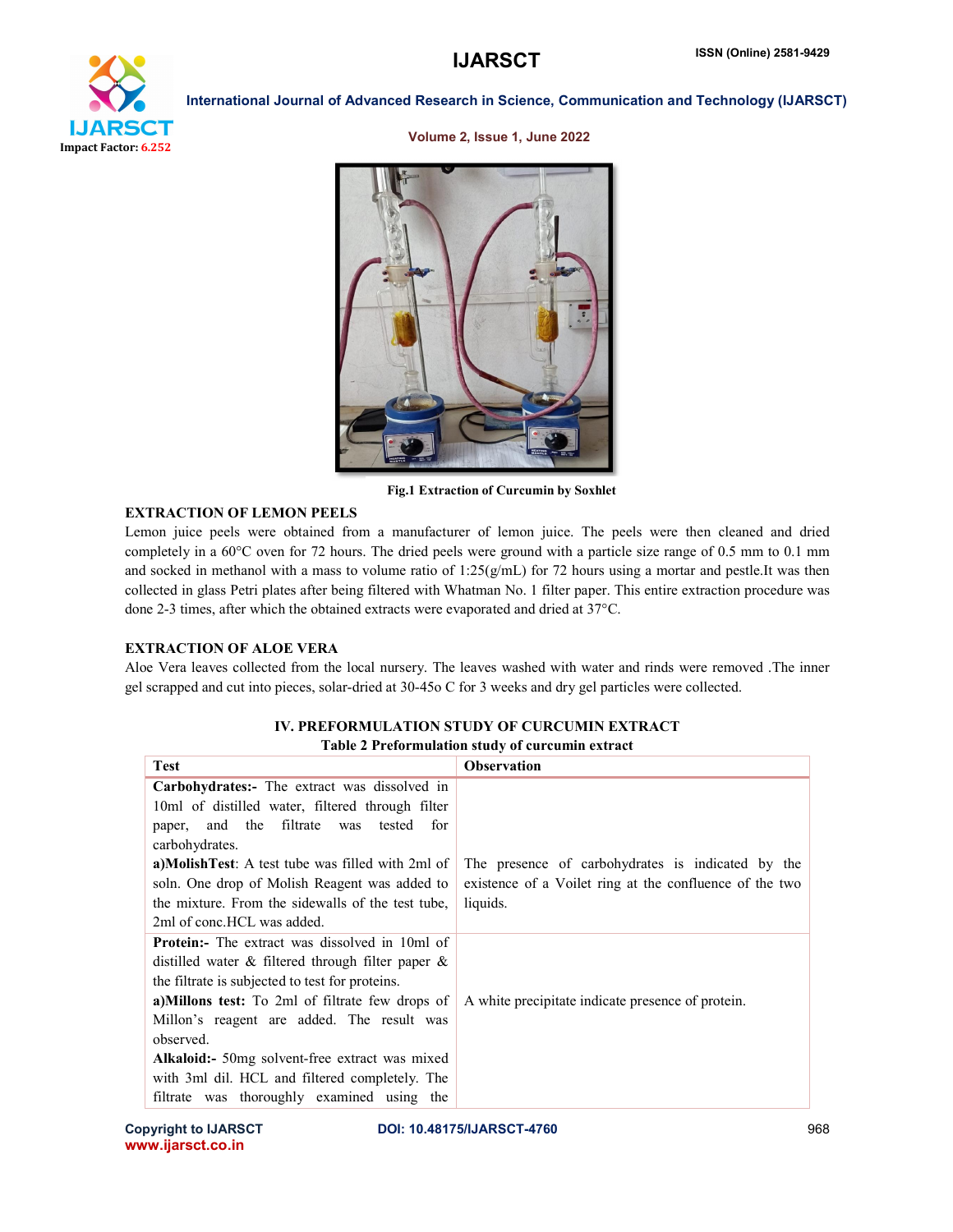

Volume 2, Issue 1, June 2022



Fig.1 Extraction of Curcumin by Soxhlet

#### EXTRACTION OF LEMON PEELS

Lemon juice peels were obtained from a manufacturer of lemon juice. The peels were then cleaned and dried completely in a 60°C oven for 72 hours. The dried peels were ground with a particle size range of 0.5 mm to 0.1 mm and socked in methanol with a mass to volume ratio of  $1:25(g/mL)$  for 72 hours using a mortar and pestle.It was then collected in glass Petri plates after being filtered with Whatman No. 1 filter paper. This entire extraction procedure was done 2-3 times, after which the obtained extracts were evaporated and dried at 37°C.

#### EXTRACTION OF ALOE VERA

Aloe Vera leaves collected from the local nursery. The leaves washed with water and rinds were removed .The inner gel scrapped and cut into pieces, solar-dried at 30-45o C for 3 weeks and dry gel particles were collected.

| <b>Test</b>                                             | <b>Observation</b>                                      |
|---------------------------------------------------------|---------------------------------------------------------|
| Carbohydrates:- The extract was dissolved in            |                                                         |
| 10ml of distilled water, filtered through filter        |                                                         |
| and the filtrate was<br>tested<br>for<br>paper,         |                                                         |
| carbohydrates.                                          |                                                         |
| a)MolishTest: A test tube was filled with 2ml of        | The presence of carbohydrates is indicated by the       |
| soln. One drop of Molish Reagent was added to           | existence of a Voilet ring at the confluence of the two |
| the mixture. From the sidewalls of the test tube.       | liquids.                                                |
| 2ml of conc. HCL was added.                             |                                                         |
| <b>Protein:</b> The extract was dissolved in 10ml of    |                                                         |
| distilled water $\&$ filtered through filter paper $\&$ |                                                         |
| the filtrate is subjected to test for proteins.         |                                                         |
| a)Millons test: To 2ml of filtrate few drops of         | A white precipitate indicate presence of protein.       |
| Millon's reagent are added. The result was              |                                                         |
| observed.                                               |                                                         |
| <b>Alkaloid:</b> 50 mg solvent-free extract was mixed   |                                                         |
| with 3ml dil. HCL and filtered completely. The          |                                                         |
| filtrate was thoroughly examined using the              |                                                         |

#### IV. PREFORMULATION STUDY OF CURCUMIN EXTRACT Table 2 Preformulation study of curcumin extract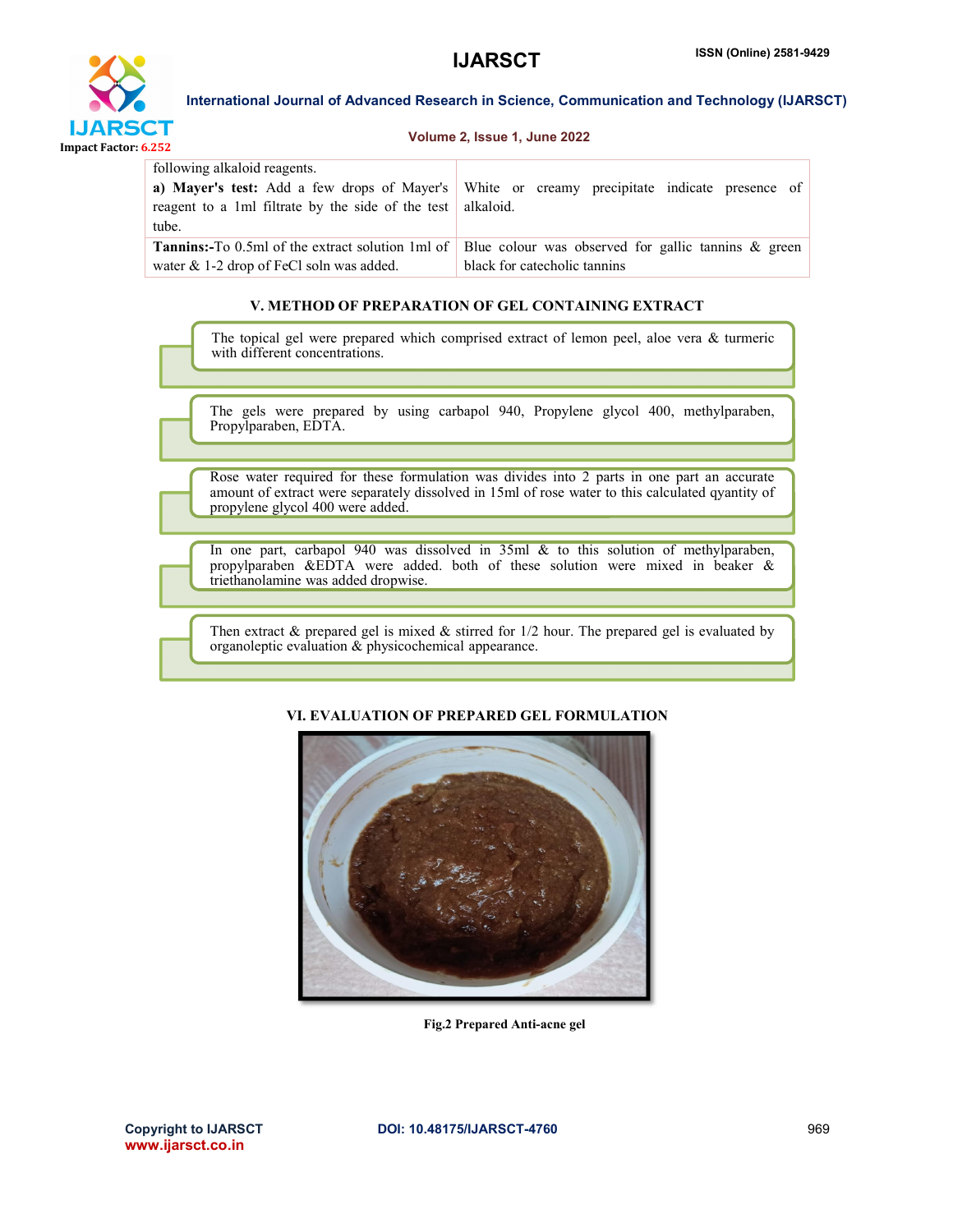



#### Volume 2, Issue 1, June 2022

| following alkaloid reagents.<br>reagent to a 1ml filtrate by the side of the test   alkaloid.<br>tube. | a) Mayer's test: Add a few drops of Mayer's White or creamy precipitate indicate presence of                                                      |
|--------------------------------------------------------------------------------------------------------|---------------------------------------------------------------------------------------------------------------------------------------------------|
| water $& 1-2$ drop of FeCl soln was added.                                                             | <b>Tannins:</b> -To 0.5ml of the extract solution 1ml of   Blue colour was observed for gallic tannins & green  <br>black for cate cholic tanning |

#### V. METHOD OF PREPARATION OF GEL CONTAINING EXTRACT

The topical gel were prepared which comprised extract of lemon peel, aloe vera & turmeric with different concentrations.

The gels were prepared by using carbapol 940, Propylene glycol 400, methylparaben, Propylparaben, EDTA.

Rose water required for these formulation was divides into 2 parts in one part an accurate amount of extract were separately dissolved in 15ml of rose water to this calculated qyantity of propylene glycol 400 were added.

In one part, carbapol 940 was dissolved in 35ml & to this solution of methylparaben, propylparaben &EDTA were added. both of these solution were mixed in beaker & triethanolamine was added dropwise.

Then extract  $\&$  prepared gel is mixed  $\&$  stirred for 1/2 hour. The prepared gel is evaluated by organoleptic evaluation & physicochemical appearance.

#### VI. EVALUATION OF PREPARED GEL FORMULATION



Fig.2 Prepared Anti-acne gel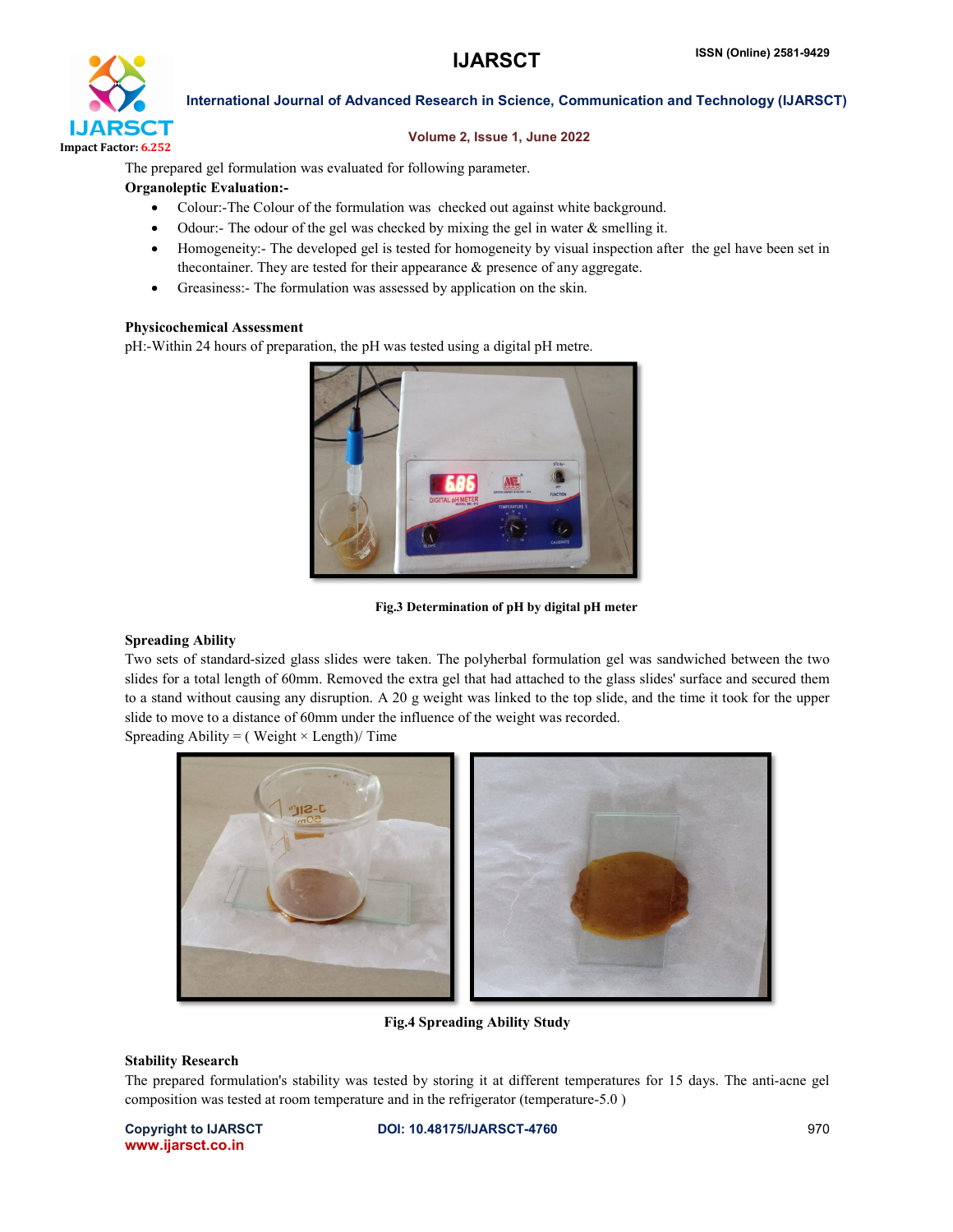

#### Volume 2, Issue 1, June 2022

The prepared gel formulation was evaluated for following parameter.

#### Organoleptic Evaluation:-

- Colour:-The Colour of the formulation was checked out against white background.
- Odour:- The odour of the gel was checked by mixing the gel in water & smelling it.
- Homogeneity:- The developed gel is tested for homogeneity by visual inspection after the gel have been set in thecontainer. They are tested for their appearance & presence of any aggregate.
- Greasiness:- The formulation was assessed by application on the skin.

#### Physicochemical Assessment

pH:-Within 24 hours of preparation, the pH was tested using a digital pH metre.



Fig.3 Determination of pH by digital pH meter

#### Spreading Ability

Two sets of standard-sized glass slides were taken. The polyherbal formulation gel was sandwiched between the two slides for a total length of 60mm. Removed the extra gel that had attached to the glass slides' surface and secured them to a stand without causing any disruption. A 20 g weight was linked to the top slide, and the time it took for the upper slide to move to a distance of 60mm under the influence of the weight was recorded.

Spreading Ability = (Weight  $\times$  Length)/ Time



Fig.4 Spreading Ability Study

#### Stability Research

The prepared formulation's stability was tested by storing it at different temperatures for 15 days. The anti-acne gel composition was tested at room temperature and in the refrigerator (temperature-5.0 )

www.ijarsct.co.in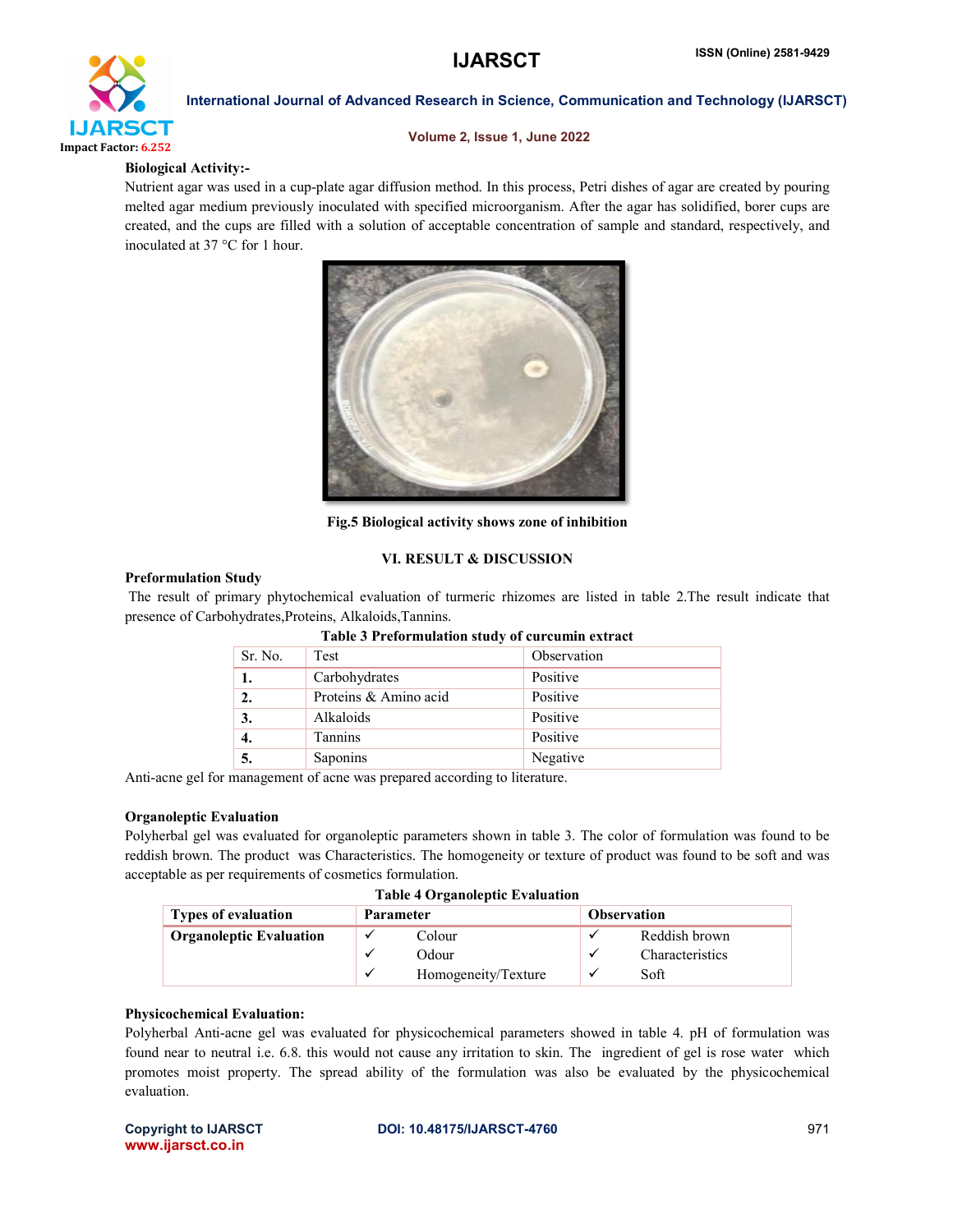

#### Volume 2, Issue 1, June 2022

#### Biological Activity:-

Nutrient agar was used in a cup-plate agar diffusion method. In this process, Petri dishes of agar are created by pouring melted agar medium previously inoculated with specified microorganism. After the agar has solidified, borer cups are created, and the cups are filled with a solution of acceptable concentration of sample and standard, respectively, and inoculated at 37 °C for 1 hour.



Fig.5 Biological activity shows zone of inhibition

#### VI. RESULT & DISCUSSION

#### Preformulation Study

The result of primary phytochemical evaluation of turmeric rhizomes are listed in table 2.The result indicate that presence of Carbohydrates,Proteins, Alkaloids,Tannins.

| <u>twore e i celoi maiatoir ovan y or eareanin ener aev</u> |                       |             |  |
|-------------------------------------------------------------|-----------------------|-------------|--|
| Sr. No.                                                     | Test                  | Observation |  |
| 1.                                                          | Carbohydrates         | Positive    |  |
| 2.                                                          | Proteins & Amino acid | Positive    |  |
| 3.                                                          | Alkaloids             | Positive    |  |
| 4.                                                          | Tannins               | Positive    |  |
| 5.                                                          | Saponins              | Negative    |  |

### Table 3 Preformulation study of curcumin extract

Anti-acne gel for management of acne was prepared according to literature.

#### Organoleptic Evaluation

Polyherbal gel was evaluated for organoleptic parameters shown in table 3. The color of formulation was found to be reddish brown. The product was Characteristics. The homogeneity or texture of product was found to be soft and was acceptable as per requirements of cosmetics formulation.

| <b>Types of evaluation</b>     | <b>Parameter</b>     |                     | <b>Observation</b> |                        |
|--------------------------------|----------------------|---------------------|--------------------|------------------------|
| <b>Organoleptic Evaluation</b> |                      | Colour              |                    | Reddish brown          |
|                                |                      | Odour               |                    | <b>Characteristics</b> |
|                                | $\ddot{\phantom{0}}$ | Homogeneity/Texture |                    | Soft                   |

#### Physicochemical Evaluation:

Polyherbal Anti-acne gel was evaluated for physicochemical parameters showed in table 4. pH of formulation was found near to neutral i.e. 6.8. this would not cause any irritation to skin. The ingredient of gel is rose water which promotes moist property. The spread ability of the formulation was also be evaluated by the physicochemical evaluation.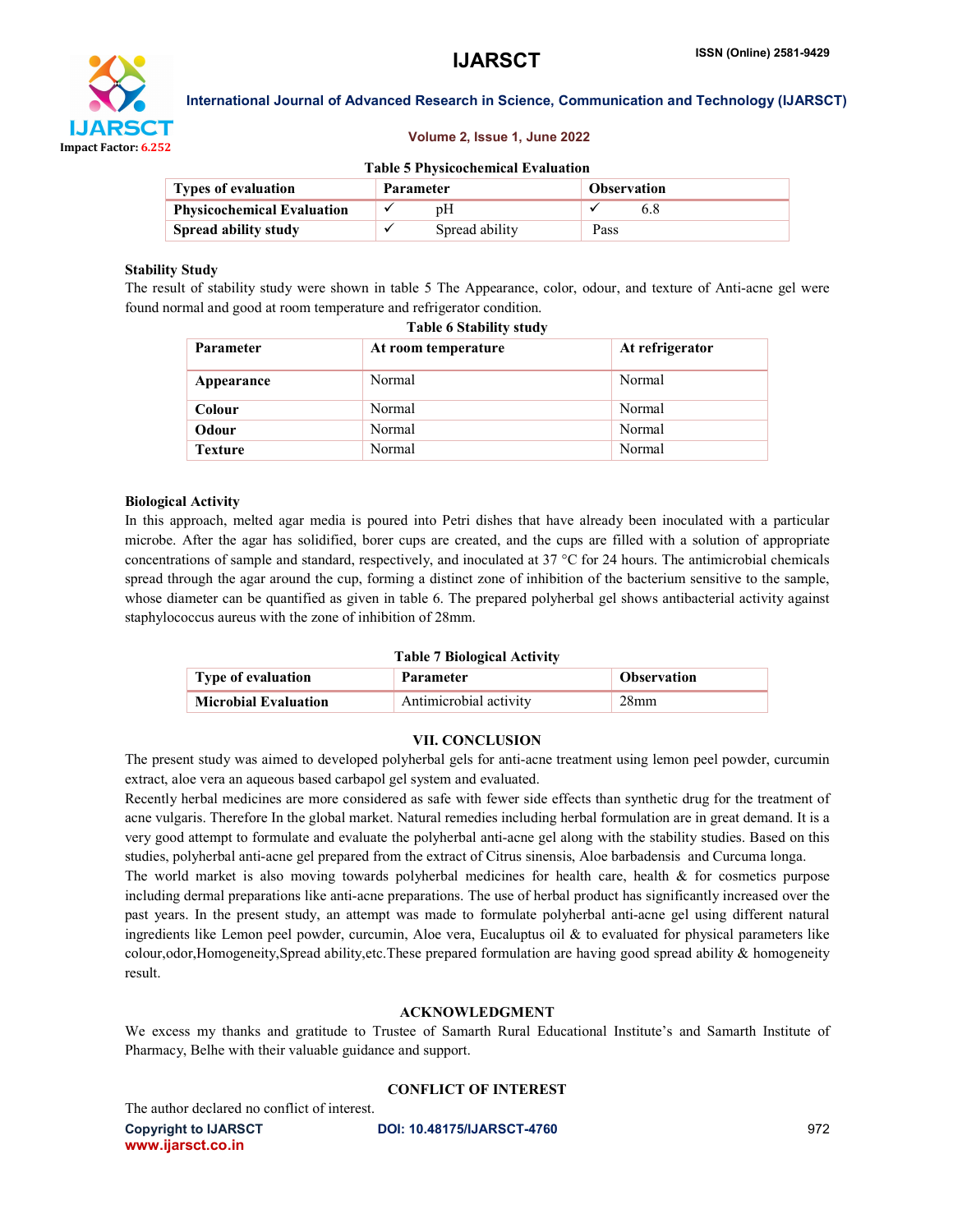

#### Volume 2, Issue 1, June 2022

#### Table 5 Physicochemical Evaluation

| <b>Types of evaluation</b>        | <b>Parameter</b> |                | <b>Observation</b> |  |
|-----------------------------------|------------------|----------------|--------------------|--|
| <b>Physicochemical Evaluation</b> |                  |                |                    |  |
| Spread ability study              |                  | Spread ability | Pass               |  |

#### Stability Study

The result of stability study were shown in table 5 The Appearance, color, odour, and texture of Anti-acne gel were found normal and good at room temperature and refrigerator condition.

| <b>Parameter</b> | At room temperature | At refrigerator |
|------------------|---------------------|-----------------|
| Appearance       | Normal              | Normal          |
| Colour           | Normal              | Normal          |
| Odour            | Normal              | Normal          |
| <b>Texture</b>   | Normal              | Normal          |

#### Biological Activity

In this approach, melted agar media is poured into Petri dishes that have already been inoculated with a particular microbe. After the agar has solidified, borer cups are created, and the cups are filled with a solution of appropriate concentrations of sample and standard, respectively, and inoculated at 37 °C for 24 hours. The antimicrobial chemicals spread through the agar around the cup, forming a distinct zone of inhibition of the bacterium sensitive to the sample, whose diameter can be quantified as given in table 6. The prepared polyherbal gel shows antibacterial activity against staphylococcus aureus with the zone of inhibition of 28mm.

#### Table 7 Biological Activity

| <b>Type of evaluation</b>   | Parameter              | <b>Observation</b> |
|-----------------------------|------------------------|--------------------|
| <b>Microbial Evaluation</b> | Antimicrobial activity | 28 <sub>mm</sub>   |

#### VII. CONCLUSION

The present study was aimed to developed polyherbal gels for anti-acne treatment using lemon peel powder, curcumin extract, aloe vera an aqueous based carbapol gel system and evaluated.

Recently herbal medicines are more considered as safe with fewer side effects than synthetic drug for the treatment of acne vulgaris. Therefore In the global market. Natural remedies including herbal formulation are in great demand. It is a very good attempt to formulate and evaluate the polyherbal anti-acne gel along with the stability studies. Based on this studies, polyherbal anti-acne gel prepared from the extract of Citrus sinensis, Aloe barbadensis and Curcuma longa. The world market is also moving towards polyherbal medicines for health care, health  $\&$  for cosmetics purpose including dermal preparations like anti-acne preparations. The use of herbal product has significantly increased over the past years. In the present study, an attempt was made to formulate polyherbal anti-acne gel using different natural ingredients like Lemon peel powder, curcumin, Aloe vera, Eucaluptus oil  $\&$  to evaluated for physical parameters like colour,odor,Homogeneity,Spread ability,etc.These prepared formulation are having good spread ability & homogeneity result.

#### ACKNOWLEDGMENT

We excess my thanks and gratitude to Trustee of Samarth Rural Educational Institute's and Samarth Institute of Pharmacy, Belhe with their valuable guidance and support.

#### CONFLICT OF INTEREST

The author declared no conflict of interest.

www.ijarsct.co.in

Copyright to IJARSCT **DOI: 10.48175/IJARSCT-4760** 972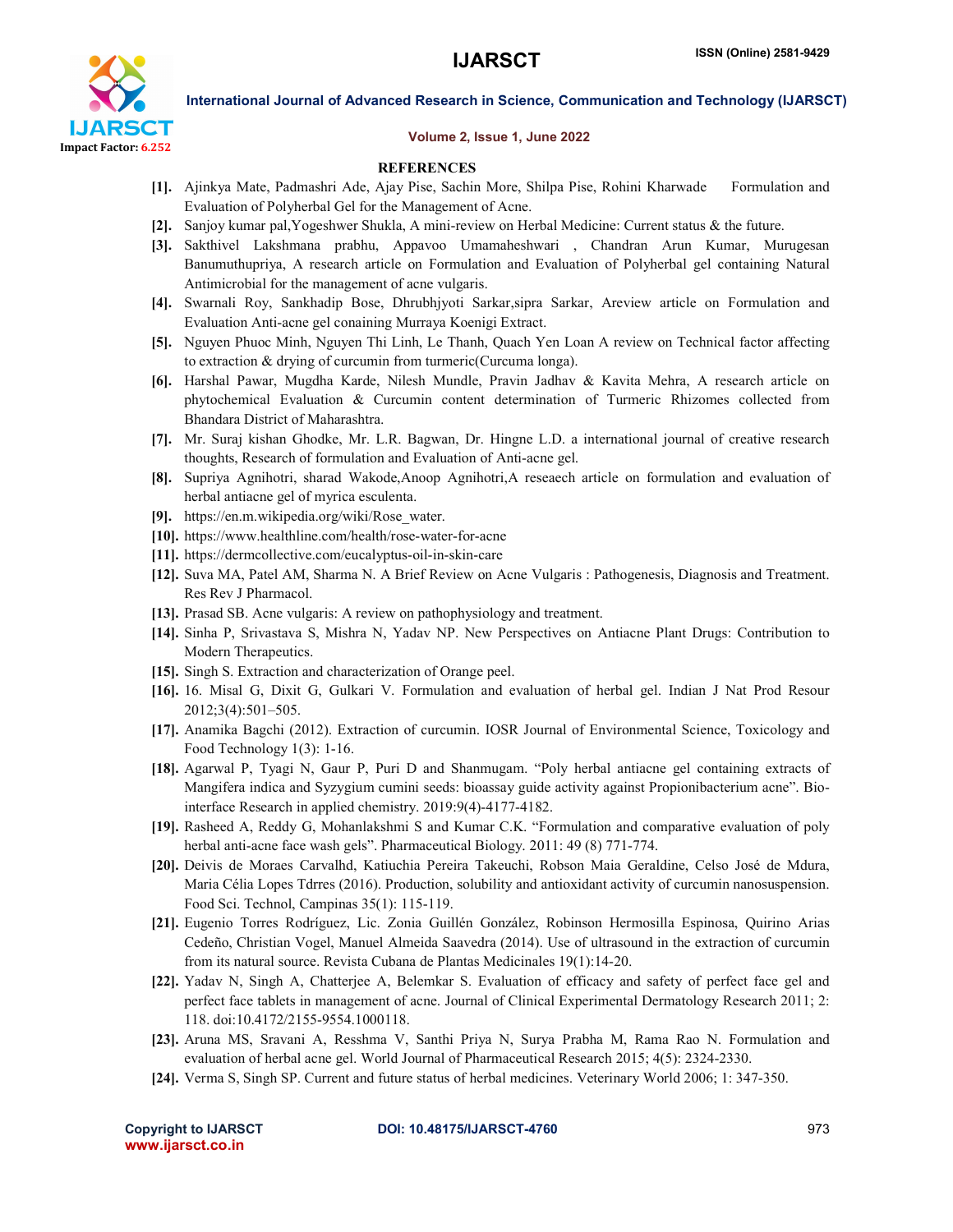

#### Volume 2, Issue 1, June 2022

#### **REFERENCES**

- [1]. Ajinkya Mate, Padmashri Ade, Ajay Pise, Sachin More, Shilpa Pise, Rohini Kharwade Formulation and Evaluation of Polyherbal Gel for the Management of Acne.
- [2]. Sanjoy kumar pal,Yogeshwer Shukla, A mini-review on Herbal Medicine: Current status & the future.
- [3]. Sakthivel Lakshmana prabhu, Appavoo Umamaheshwari , Chandran Arun Kumar, Murugesan Banumuthupriya, A research article on Formulation and Evaluation of Polyherbal gel containing Natural Antimicrobial for the management of acne vulgaris.
- [4]. Swarnali Roy, Sankhadip Bose, Dhrubhjyoti Sarkar,sipra Sarkar, Areview article on Formulation and Evaluation Anti-acne gel conaining Murraya Koenigi Extract.
- [5]. Nguyen Phuoc Minh, Nguyen Thi Linh, Le Thanh, Quach Yen Loan A review on Technical factor affecting to extraction & drying of curcumin from turmeric(Curcuma longa).
- [6]. Harshal Pawar, Mugdha Karde, Nilesh Mundle, Pravin Jadhav & Kavita Mehra, A research article on phytochemical Evaluation & Curcumin content determination of Turmeric Rhizomes collected from Bhandara District of Maharashtra.
- [7]. Mr. Suraj kishan Ghodke, Mr. L.R. Bagwan, Dr. Hingne L.D. a international journal of creative research thoughts, Research of formulation and Evaluation of Anti-acne gel.
- [8]. Supriya Agnihotri, sharad Wakode,Anoop Agnihotri,A reseaech article on formulation and evaluation of herbal antiacne gel of myrica esculenta.
- [9]. https://en.m.wikipedia.org/wiki/Rose\_water.
- [10]. https://www.healthline.com/health/rose-water-for-acne
- [11]. https://dermcollective.com/eucalyptus-oil-in-skin-care
- [12]. Suva MA, Patel AM, Sharma N. A Brief Review on Acne Vulgaris : Pathogenesis, Diagnosis and Treatment. Res Rev J Pharmacol.
- [13]. Prasad SB. Acne vulgaris: A review on pathophysiology and treatment.
- [14]. Sinha P, Srivastava S, Mishra N, Yadav NP. New Perspectives on Antiacne Plant Drugs: Contribution to Modern Therapeutics.
- [15]. Singh S. Extraction and characterization of Orange peel.
- [16]. 16. Misal G, Dixit G, Gulkari V. Formulation and evaluation of herbal gel. Indian J Nat Prod Resour 2012;3(4):501–505.
- [17]. Anamika Bagchi (2012). Extraction of curcumin. IOSR Journal of Environmental Science, Toxicology and Food Technology 1(3): 1-16.
- [18]. Agarwal P, Tyagi N, Gaur P, Puri D and Shanmugam. "Poly herbal antiacne gel containing extracts of Mangifera indica and Syzygium cumini seeds: bioassay guide activity against Propionibacterium acne". Biointerface Research in applied chemistry. 2019:9(4)-4177-4182.
- [19]. Rasheed A, Reddy G, Mohanlakshmi S and Kumar C.K. "Formulation and comparative evaluation of poly herbal anti-acne face wash gels". Pharmaceutical Biology. 2011: 49 (8) 771-774.
- [20]. Deivis de Moraes Carvalhd, Katiuchia Pereira Takeuchi, Robson Maia Geraldine, Celso José de Mdura, Maria Célia Lopes Tdrres (2016). Production, solubility and antioxidant activity of curcumin nanosuspension. Food Sci. Technol, Campinas 35(1): 115-119.
- [21]. Eugenio Torres Rodríguez, Lic. Zonia Guillén González, Robinson Hermosilla Espinosa, Quirino Arias Cedeño, Christian Vogel, Manuel Almeida Saavedra (2014). Use of ultrasound in the extraction of curcumin from its natural source. Revista Cubana de Plantas Medicinales 19(1):14-20.
- [22]. Yadav N, Singh A, Chatterjee A, Belemkar S. Evaluation of efficacy and safety of perfect face gel and perfect face tablets in management of acne. Journal of Clinical Experimental Dermatology Research 2011; 2: 118. doi:10.4172/2155-9554.1000118.
- [23]. Aruna MS, Sravani A, Resshma V, Santhi Priya N, Surya Prabha M, Rama Rao N. Formulation and evaluation of herbal acne gel. World Journal of Pharmaceutical Research 2015; 4(5): 2324-2330.
- [24]. Verma S, Singh SP. Current and future status of herbal medicines. Veterinary World 2006; 1: 347-350.